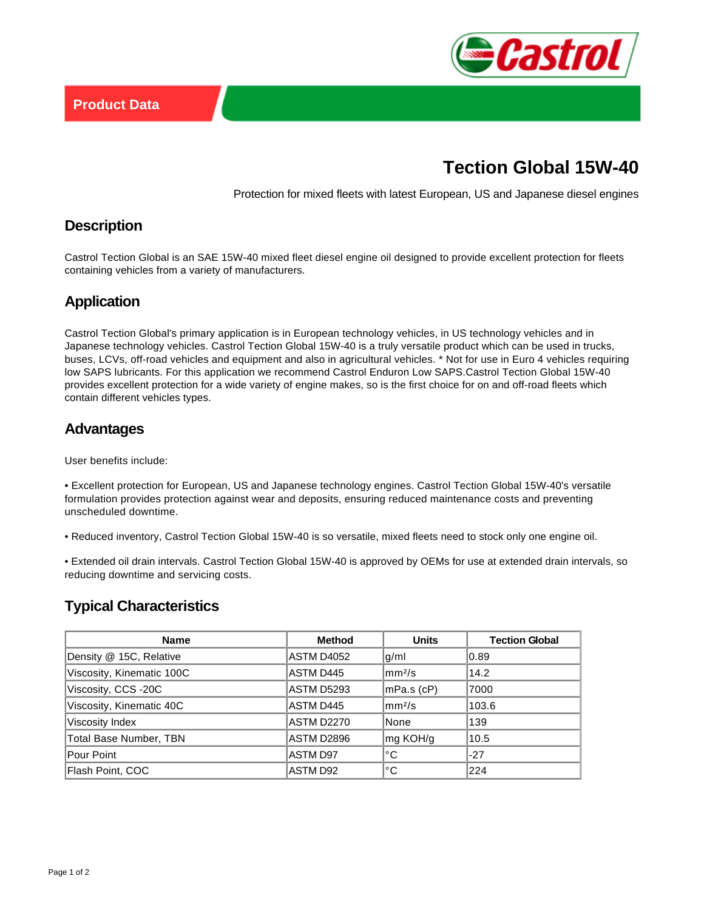

# **Tection Global 15W-40**

Protection for mixed fleets with latest European, US and Japanese diesel engines

### **Description**

Castrol Tection Global is an SAE 15W-40 mixed fleet diesel engine oil designed to provide excellent protection for fleets containing vehicles from a variety of manufacturers.

## **Application**

Castrol Tection Global's primary application is in European technology vehicles, in US technology vehicles and in Japanese technology vehicles. Castrol Tection Global 15W-40 is a truly versatile product which can be used in trucks, buses, LCVs, off-road vehicles and equipment and also in agricultural vehicles. \* Not for use in Euro 4 vehicles requiring low SAPS lubricants. For this application we recommend Castrol Enduron Low SAPS.Castrol Tection Global 15W-40 provides excellent protection for a wide variety of engine makes, so is the first choice for on and off-road fleets which contain different vehicles types.

#### **Advantages**

User benefits include:

• Excellent protection for European, US and Japanese technology engines. Castrol Tection Global 15W-40's versatile formulation provides protection against wear and deposits, ensuring reduced maintenance costs and preventing unscheduled downtime.

• Reduced inventory, Castrol Tection Global 15W-40 is so versatile, mixed fleets need to stock only one engine oil.

• Extended oil drain intervals. Castrol Tection Global 15W-40 is approved by OEMs for use at extended drain intervals, so reducing downtime and servicing costs.

## **Typical Characteristics**

| Name                          | <b>Method</b>     | <b>Units</b>   | <b>Tection Global</b> |
|-------------------------------|-------------------|----------------|-----------------------|
| Density @ 15C, Relative       | <b>ASTM D4052</b> | g/ml           | 0.89                  |
| Viscosity, Kinematic 100C     | ASTM D445         | $\rm  mm^2/s $ | 14.2                  |
| Viscosity, CCS -20C           | <b>ASTM D5293</b> | mPa.s (cP)     | 7000                  |
| Viscosity, Kinematic 40C      | ASTM D445         | $\rm  mm^2/s $ | 103.6                 |
| Viscosity Index               | <b>ASTM D2270</b> | None           | 139                   |
| <b>Total Base Number, TBN</b> | ASTM D2896        | mg KOH/g       | 10.5                  |
| Pour Point                    | <b>ASTM D97</b>   | °C             | $-27$                 |
| Flash Point, COC              | ASTM D92          | °C             | 224                   |